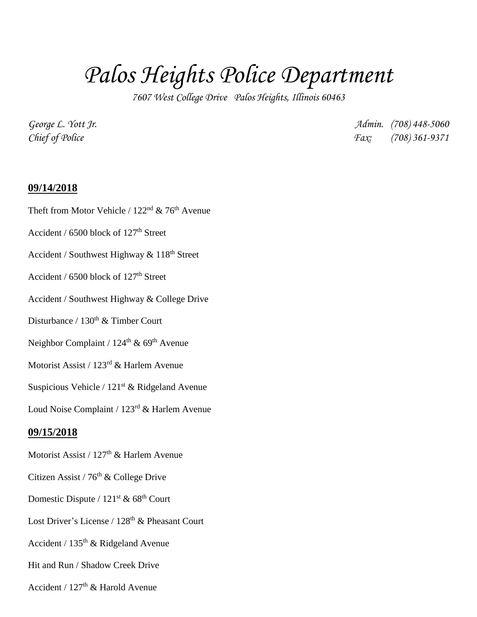## *Palos Heights Police Department*

*7607 West College Drive Palos Heights, Illinois 60463*

*George L. Yott Jr. Admin. (708) 448-5060 Chief of Police Fax: (708) 361-9371*

## **09/14/2018**

Theft from Motor Vehicle /  $122<sup>nd</sup>$  & 76<sup>th</sup> Avenue Accident / 6500 block of 127<sup>th</sup> Street Accident / Southwest Highway  $& 118<sup>th</sup>$  Street Accident /  $6500$  block of  $127<sup>th</sup>$  Street Accident / Southwest Highway & College Drive Disturbance / 130<sup>th</sup> & Timber Court Neighbor Complaint /  $124<sup>th</sup>$  & 69<sup>th</sup> Avenue Motorist Assist / 123rd & Harlem Avenue Suspicious Vehicle /  $121<sup>st</sup>$  & Ridgeland Avenue Loud Noise Complaint / 123rd & Harlem Avenue **09/15/2018** Motorist Assist /  $127<sup>th</sup>$  & Harlem Avenue Citizen Assist / 76<sup>th</sup> & College Drive Domestic Dispute /  $121^{st}$  &  $68^{th}$  Court Lost Driver's License /  $128<sup>th</sup>$  & Pheasant Court Accident /  $135<sup>th</sup>$  & Ridgeland Avenue Hit and Run / Shadow Creek Drive Accident /  $127<sup>th</sup>$  & Harold Avenue